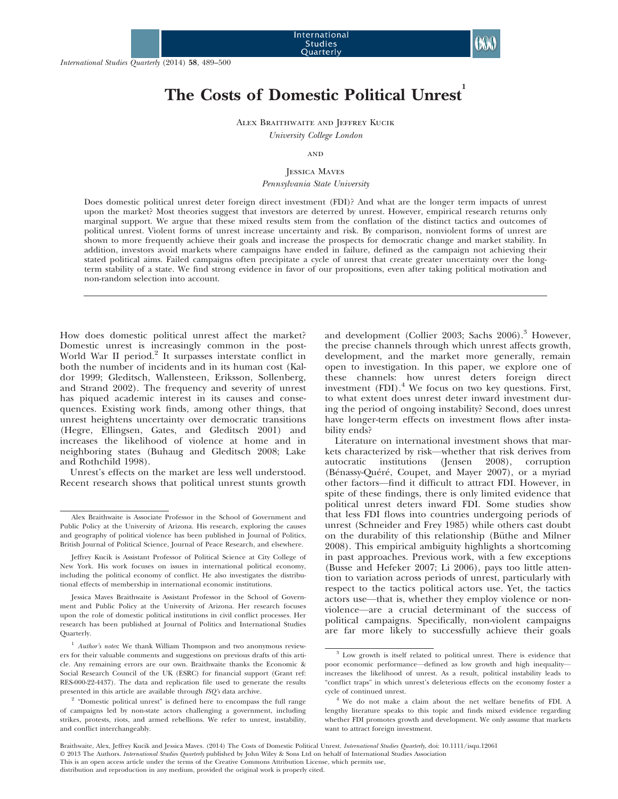# The Costs of Domestic Political Unrest

Alex Braithwaite and Jeffrey Kucik

University College London

## **AND**

# Jessica Maves

Pennsylvania State University

Does domestic political unrest deter foreign direct investment (FDI)? And what are the longer term impacts of unrest upon the market? Most theories suggest that investors are deterred by unrest. However, empirical research returns only marginal support. We argue that these mixed results stem from the conflation of the distinct tactics and outcomes of political unrest. Violent forms of unrest increase uncertainty and risk. By comparison, nonviolent forms of unrest are shown to more frequently achieve their goals and increase the prospects for democratic change and market stability. In addition, investors avoid markets where campaigns have ended in failure, defined as the campaign not achieving their stated political aims. Failed campaigns often precipitate a cycle of unrest that create greater uncertainty over the longterm stability of a state. We find strong evidence in favor of our propositions, even after taking political motivation and non-random selection into account.

How does domestic political unrest affect the market? Domestic unrest is increasingly common in the post-World War II period.<sup>2</sup> It surpasses interstate conflict in both the number of incidents and in its human cost (Kaldor 1999; Gleditsch, Wallensteen, Eriksson, Sollenberg, and Strand 2002). The frequency and severity of unrest has piqued academic interest in its causes and consequences. Existing work finds, among other things, that unrest heightens uncertainty over democratic transitions (Hegre, Ellingsen, Gates, and Gleditsch 2001) and increases the likelihood of violence at home and in neighboring states (Buhaug and Gleditsch 2008; Lake and Rothchild 1998).

Unrest's effects on the market are less well understood. Recent research shows that political unrest stunts growth

and development (Collier 2003; Sachs  $2006$ ).<sup>3</sup> However, the precise channels through which unrest affects growth, development, and the market more generally, remain open to investigation. In this paper, we explore one of these channels: how unrest deters foreign direct investment (FDI).<sup>4</sup> We focus on two key questions. First, to what extent does unrest deter inward investment during the period of ongoing instability? Second, does unrest have longer-term effects on investment flows after instability ends?

Literature on international investment shows that markets characterized by risk—whether that risk derives from autocratic institutions (Jensen 2008), corruption (Bénassy-Quéré, Coupet, and Mayer 2007), or a myriad other factors—find it difficult to attract FDI. However, in spite of these findings, there is only limited evidence that political unrest deters inward FDI. Some studies show that less FDI flows into countries undergoing periods of unrest (Schneider and Frey 1985) while others cast doubt on the durability of this relationship (Büthe and Milner 2008). This empirical ambiguity highlights a shortcoming in past approaches. Previous work, with a few exceptions (Busse and Hefeker 2007; Li 2006), pays too little attention to variation across periods of unrest, particularly with respect to the tactics political actors use. Yet, the tactics actors use—that is, whether they employ violence or nonviolence—are a crucial determinant of the success of political campaigns. Specifically, non-violent campaigns are far more likely to successfully achieve their goals

Alex Braithwaite is Associate Professor in the School of Government and Public Policy at the University of Arizona. His research, exploring the causes and geography of political violence has been published in Journal of Politics, British Journal of Political Science, Journal of Peace Research, and elsewhere.

Jeffrey Kucik is Assistant Professor of Political Science at City College of New York. His work focuses on issues in international political economy, including the political economy of conflict. He also investigates the distributional effects of membership in international economic institutions.

Jessica Maves Braithwaite is Assistant Professor in the School of Government and Public Policy at the University of Arizona. Her research focuses upon the role of domestic political institutions in civil conflict processes. Her research has been published at Journal of Politics and International Studies Quarterly.

 $1$  Author's notes: We thank William Thompson and two anonymous reviewers for their valuable comments and suggestions on previous drafts of this article. Any remaining errors are our own. Braithwaite thanks the Economic & Social Research Council of the UK (ESRC) for financial support (Grant ref: RES-000-22-4437). The data and replication file used to generate the results presented in this article are available through ISQ's data archive.

<sup>2</sup> "Domestic political unrest" is defined here to encompass the full range of campaigns led by non-state actors challenging a government, including strikes, protests, riots, and armed rebellions. We refer to unrest, instability, and conflict interchangeably.

 $3$  Low growth is itself related to political unrest. There is evidence that poor economic performance—defined as low growth and high inequality increases the likelihood of unrest. As a result, political instability leads to "conflict traps" in which unrest's deleterious effects on the economy foster a cycle of continued unrest.

<sup>4</sup> We do not make a claim about the net welfare benefits of FDI. A lengthy literature speaks to this topic and finds mixed evidence regarding whether FDI promotes growth and development. We only assume that markets want to attract foreign investment.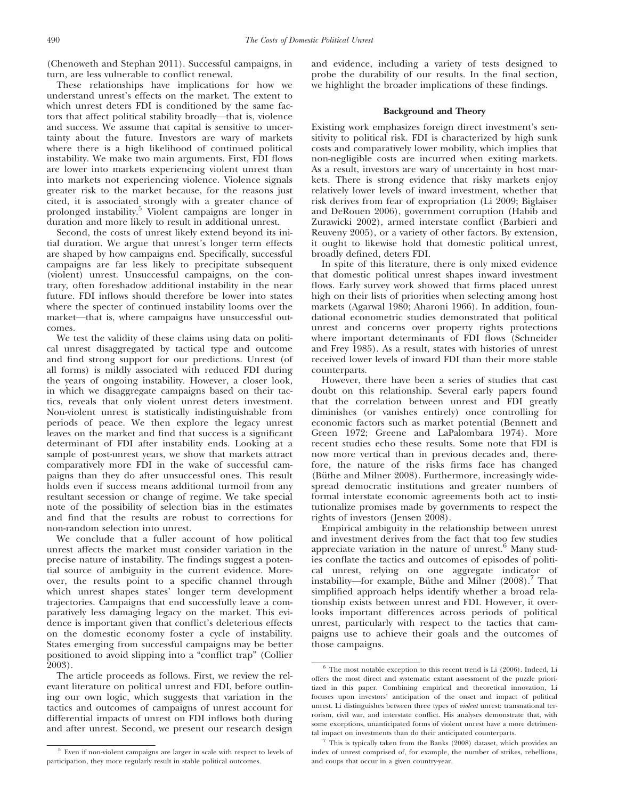(Chenoweth and Stephan 2011). Successful campaigns, in turn, are less vulnerable to conflict renewal.

These relationships have implications for how we understand unrest's effects on the market. The extent to which unrest deters FDI is conditioned by the same factors that affect political stability broadly—that is, violence and success. We assume that capital is sensitive to uncertainty about the future. Investors are wary of markets where there is a high likelihood of continued political instability. We make two main arguments. First, FDI flows are lower into markets experiencing violent unrest than into markets not experiencing violence. Violence signals greater risk to the market because, for the reasons just cited, it is associated strongly with a greater chance of prolonged instability.<sup>5</sup> Violent campaigns are longer in duration and more likely to result in additional unrest.

Second, the costs of unrest likely extend beyond its initial duration. We argue that unrest's longer term effects are shaped by how campaigns end. Specifically, successful campaigns are far less likely to precipitate subsequent (violent) unrest. Unsuccessful campaigns, on the contrary, often foreshadow additional instability in the near future. FDI inflows should therefore be lower into states where the specter of continued instability looms over the market—that is, where campaigns have unsuccessful outcomes.

We test the validity of these claims using data on political unrest disaggregated by tactical type and outcome and find strong support for our predictions. Unrest (of all forms) is mildly associated with reduced FDI during the years of ongoing instability. However, a closer look, in which we disaggregate campaigns based on their tactics, reveals that only violent unrest deters investment. Non-violent unrest is statistically indistinguishable from periods of peace. We then explore the legacy unrest leaves on the market and find that success is a significant determinant of FDI after instability ends. Looking at a sample of post-unrest years, we show that markets attract comparatively more FDI in the wake of successful campaigns than they do after unsuccessful ones. This result holds even if success means additional turmoil from any resultant secession or change of regime. We take special note of the possibility of selection bias in the estimates and find that the results are robust to corrections for non-random selection into unrest.

We conclude that a fuller account of how political unrest affects the market must consider variation in the precise nature of instability. The findings suggest a potential source of ambiguity in the current evidence. Moreover, the results point to a specific channel through which unrest shapes states' longer term development trajectories. Campaigns that end successfully leave a comparatively less damaging legacy on the market. This evidence is important given that conflict's deleterious effects on the domestic economy foster a cycle of instability. States emerging from successful campaigns may be better positioned to avoid slipping into a "conflict trap" (Collier 2003).

The article proceeds as follows. First, we review the relevant literature on political unrest and FDI, before outlining our own logic, which suggests that variation in the tactics and outcomes of campaigns of unrest account for differential impacts of unrest on FDI inflows both during and after unrest. Second, we present our research design and evidence, including a variety of tests designed to probe the durability of our results. In the final section, we highlight the broader implications of these findings.

# Background and Theory

Existing work emphasizes foreign direct investment's sensitivity to political risk. FDI is characterized by high sunk costs and comparatively lower mobility, which implies that non-negligible costs are incurred when exiting markets. As a result, investors are wary of uncertainty in host markets. There is strong evidence that risky markets enjoy relatively lower levels of inward investment, whether that risk derives from fear of expropriation (Li 2009; Biglaiser and DeRouen 2006), government corruption (Habib and Zurawicki 2002), armed interstate conflict (Barbieri and Reuveny 2005), or a variety of other factors. By extension, it ought to likewise hold that domestic political unrest, broadly defined, deters FDI.

In spite of this literature, there is only mixed evidence that domestic political unrest shapes inward investment flows. Early survey work showed that firms placed unrest high on their lists of priorities when selecting among host markets (Agarwal 1980; Aharoni 1966). In addition, foundational econometric studies demonstrated that political unrest and concerns over property rights protections where important determinants of FDI flows (Schneider and Frey 1985). As a result, states with histories of unrest received lower levels of inward FDI than their more stable counterparts.

However, there have been a series of studies that cast doubt on this relationship. Several early papers found that the correlation between unrest and FDI greatly diminishes (or vanishes entirely) once controlling for economic factors such as market potential (Bennett and Green 1972; Greene and LaPalombara 1974). More recent studies echo these results. Some note that FDI is now more vertical than in previous decades and, therefore, the nature of the risks firms face has changed (Büthe and Milner 2008). Furthermore, increasingly widespread democratic institutions and greater numbers of formal interstate economic agreements both act to institutionalize promises made by governments to respect the rights of investors (Jensen 2008).

Empirical ambiguity in the relationship between unrest and investment derives from the fact that too few studies appreciate variation in the nature of unrest. $6$  Many studies conflate the tactics and outcomes of episodes of political unrest, relying on one aggregate indicator of instability—for example, Büthe and Milner  $(2008)$ .<sup>7</sup> That simplified approach helps identify whether a broad relationship exists between unrest and FDI. However, it overlooks important differences across periods of political unrest, particularly with respect to the tactics that campaigns use to achieve their goals and the outcomes of those campaigns.

<sup>5</sup> Even if non-violent campaigns are larger in scale with respect to levels of participation, they more regularly result in stable political outcomes.

 $6$  The most notable exception to this recent trend is Li (2006). Indeed, Li offers the most direct and systematic extant assessment of the puzzle prioritized in this paper. Combining empirical and theoretical innovation, Li focuses upon investors' anticipation of the onset and impact of political unrest. Li distinguishes between three types of violent unrest: transnational terrorism, civil war, and interstate conflict. His analyses demonstrate that, with some exceptions, unanticipated forms of violent unrest have a more detrimental impact on investments than do their anticipated counterparts.

 $7$  This is typically taken from the Banks (2008) dataset, which provides an index of unrest comprised of, for example, the number of strikes, rebellions, and coups that occur in a given country-year.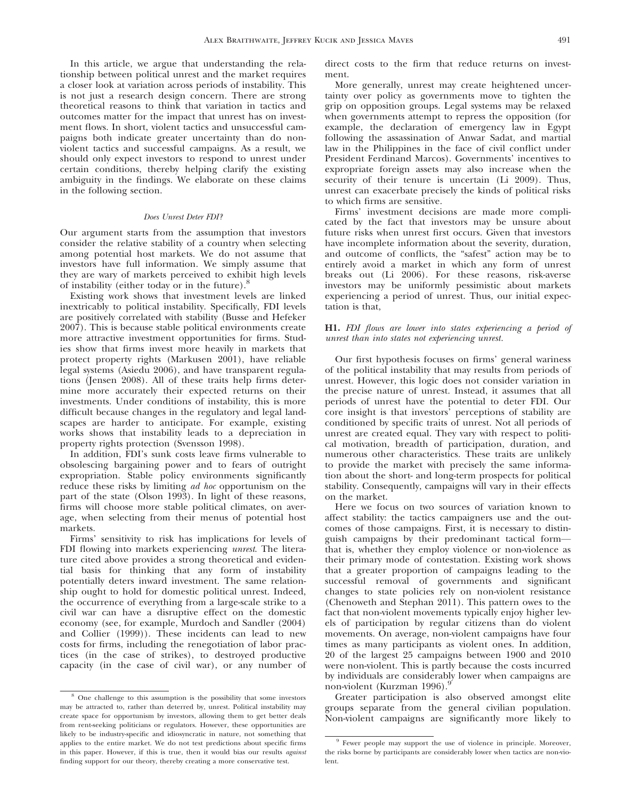In this article, we argue that understanding the relationship between political unrest and the market requires a closer look at variation across periods of instability. This is not just a research design concern. There are strong theoretical reasons to think that variation in tactics and outcomes matter for the impact that unrest has on investment flows. In short, violent tactics and unsuccessful campaigns both indicate greater uncertainty than do nonviolent tactics and successful campaigns. As a result, we should only expect investors to respond to unrest under certain conditions, thereby helping clarify the existing ambiguity in the findings. We elaborate on these claims in the following section.

#### Does Unrest Deter FDI?

Our argument starts from the assumption that investors consider the relative stability of a country when selecting among potential host markets. We do not assume that investors have full information. We simply assume that they are wary of markets perceived to exhibit high levels of instability (either today or in the future).<sup>8</sup>

Existing work shows that investment levels are linked inextricably to political instability. Specifically, FDI levels are positively correlated with stability (Busse and Hefeker 2007). This is because stable political environments create more attractive investment opportunities for firms. Studies show that firms invest more heavily in markets that protect property rights (Markusen 2001), have reliable legal systems (Asiedu 2006), and have transparent regulations (Jensen 2008). All of these traits help firms determine more accurately their expected returns on their investments. Under conditions of instability, this is more difficult because changes in the regulatory and legal landscapes are harder to anticipate. For example, existing works shows that instability leads to a depreciation in property rights protection (Svensson 1998).

In addition, FDI's sunk costs leave firms vulnerable to obsolescing bargaining power and to fears of outright expropriation. Stable policy environments significantly reduce these risks by limiting *ad hoc* opportunism on the part of the state (Olson 1993). In light of these reasons, firms will choose more stable political climates, on average, when selecting from their menus of potential host markets.

Firms' sensitivity to risk has implications for levels of FDI flowing into markets experiencing unrest. The literature cited above provides a strong theoretical and evidential basis for thinking that any form of instability potentially deters inward investment. The same relationship ought to hold for domestic political unrest. Indeed, the occurrence of everything from a large-scale strike to a civil war can have a disruptive effect on the domestic economy (see, for example, Murdoch and Sandler (2004) and Collier (1999)). These incidents can lead to new costs for firms, including the renegotiation of labor practices (in the case of strikes), to destroyed productive capacity (in the case of civil war), or any number of

direct costs to the firm that reduce returns on investment.

More generally, unrest may create heightened uncertainty over policy as governments move to tighten the grip on opposition groups. Legal systems may be relaxed when governments attempt to repress the opposition (for example, the declaration of emergency law in Egypt following the assassination of Anwar Sadat, and martial law in the Philippines in the face of civil conflict under President Ferdinand Marcos). Governments' incentives to expropriate foreign assets may also increase when the security of their tenure is uncertain (Li 2009). Thus, unrest can exacerbate precisely the kinds of political risks to which firms are sensitive.

Firms' investment decisions are made more complicated by the fact that investors may be unsure about future risks when unrest first occurs. Given that investors have incomplete information about the severity, duration, and outcome of conflicts, the "safest" action may be to entirely avoid a market in which any form of unrest breaks out (Li 2006). For these reasons, risk-averse investors may be uniformly pessimistic about markets experiencing a period of unrest. Thus, our initial expectation is that,

# H1. FDI flows are lower into states experiencing a period of unrest than into states not experiencing unrest.

Our first hypothesis focuses on firms' general wariness of the political instability that may results from periods of unrest. However, this logic does not consider variation in the precise nature of unrest. Instead, it assumes that all periods of unrest have the potential to deter FDI. Our core insight is that investors' perceptions of stability are conditioned by specific traits of unrest. Not all periods of unrest are created equal. They vary with respect to political motivation, breadth of participation, duration, and numerous other characteristics. These traits are unlikely to provide the market with precisely the same information about the short- and long-term prospects for political stability. Consequently, campaigns will vary in their effects on the market.

Here we focus on two sources of variation known to affect stability: the tactics campaigners use and the outcomes of those campaigns. First, it is necessary to distinguish campaigns by their predominant tactical form that is, whether they employ violence or non-violence as their primary mode of contestation. Existing work shows that a greater proportion of campaigns leading to the successful removal of governments and significant changes to state policies rely on non-violent resistance (Chenoweth and Stephan 2011). This pattern owes to the fact that non-violent movements typically enjoy higher levels of participation by regular citizens than do violent movements. On average, non-violent campaigns have four times as many participants as violent ones. In addition, 20 of the largest 25 campaigns between 1900 and 2010 were non-violent. This is partly because the costs incurred by individuals are considerably lower when campaigns are non-violent (Kurzman 1996).<sup>9</sup>

Greater participation is also observed amongst elite groups separate from the general civilian population. Non-violent campaigns are significantly more likely to

<sup>8</sup> One challenge to this assumption is the possibility that some investors may be attracted to, rather than deterred by, unrest. Political instability may create space for opportunism by investors, allowing them to get better deals from rent-seeking politicians or regulators. However, these opportunities are likely to be industry-specific and idiosyncratic in nature, not something that applies to the entire market. We do not test predictions about specific firms in this paper. However, if this is true, then it would bias our results *against* finding support for our theory, thereby creating a more conservative test.

<sup>&</sup>lt;sup>9</sup> Fewer people may support the use of violence in principle. Moreover, the risks borne by participants are considerably lower when tactics are non-violent.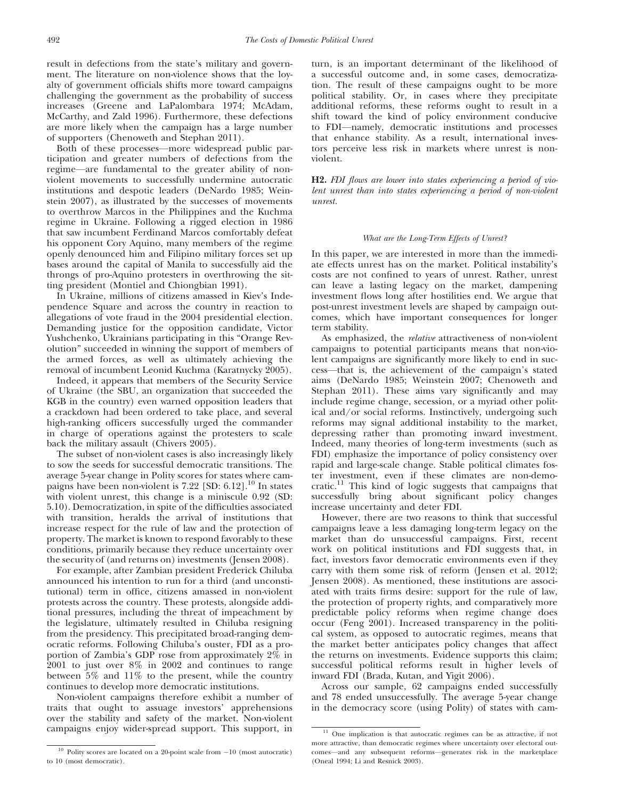result in defections from the state's military and government. The literature on non-violence shows that the loyalty of government officials shifts more toward campaigns challenging the government as the probability of success increases (Greene and LaPalombara 1974; McAdam, McCarthy, and Zald 1996). Furthermore, these defections are more likely when the campaign has a large number of supporters (Chenoweth and Stephan 2011).

Both of these processes—more widespread public participation and greater numbers of defections from the regime—are fundamental to the greater ability of nonviolent movements to successfully undermine autocratic institutions and despotic leaders (DeNardo 1985; Weinstein 2007), as illustrated by the successes of movements to overthrow Marcos in the Philippines and the Kuchma regime in Ukraine. Following a rigged election in 1986 that saw incumbent Ferdinand Marcos comfortably defeat his opponent Cory Aquino, many members of the regime openly denounced him and Filipino military forces set up bases around the capital of Manila to successfully aid the throngs of pro-Aquino protesters in overthrowing the sitting president (Montiel and Chiongbian 1991).

In Ukraine, millions of citizens amassed in Kiev's Independence Square and across the country in reaction to allegations of vote fraud in the 2004 presidential election. Demanding justice for the opposition candidate, Victor Yushchenko, Ukrainians participating in this "Orange Revolution" succeeded in winning the support of members of the armed forces, as well as ultimately achieving the removal of incumbent Leonid Kuchma (Karatnycky 2005).

Indeed, it appears that members of the Security Service of Ukraine (the SBU, an organization that succeeded the KGB in the country) even warned opposition leaders that a crackdown had been ordered to take place, and several high-ranking officers successfully urged the commander in charge of operations against the protesters to scale back the military assault (Chivers 2005).

The subset of non-violent cases is also increasingly likely to sow the seeds for successful democratic transitions. The average 5-year change in Polity scores for states where campaigns have been non-violent is  $7.22$  [SD:  $6.12$ ].<sup>10</sup> In states with violent unrest, this change is a miniscule 0.92 (SD: 5.10). Democratization, in spite of the difficulties associated with transition, heralds the arrival of institutions that increase respect for the rule of law and the protection of property. The market is known to respond favorably to these conditions, primarily because they reduce uncertainty over the security of (and returns on) investments (Jensen 2008).

For example, after Zambian president Frederick Chiluba announced his intention to run for a third (and unconstitutional) term in office, citizens amassed in non-violent protests across the country. These protests, alongside additional pressures, including the threat of impeachment by the legislature, ultimately resulted in Chiluba resigning from the presidency. This precipitated broad-ranging democratic reforms. Following Chiluba's ouster, FDI as a proportion of Zambia's GDP rose from approximately 2% in 2001 to just over 8% in 2002 and continues to range between 5% and 11% to the present, while the country continues to develop more democratic institutions.

Non-violent campaigns therefore exhibit a number of traits that ought to assuage investors' apprehensions over the stability and safety of the market. Non-violent campaigns enjoy wider-spread support. This support, in turn, is an important determinant of the likelihood of a successful outcome and, in some cases, democratization. The result of these campaigns ought to be more political stability. Or, in cases where they precipitate additional reforms, these reforms ought to result in a shift toward the kind of policy environment conducive to FDI—namely, democratic institutions and processes that enhance stability. As a result, international investors perceive less risk in markets where unrest is nonviolent.

H2. FDI flows are lower into states experiencing a period of violent unrest than into states experiencing a period of non-violent unrest.

# What are the Long-Term Effects of Unrest?

In this paper, we are interested in more than the immediate effects unrest has on the market. Political instability's costs are not confined to years of unrest. Rather, unrest can leave a lasting legacy on the market, dampening investment flows long after hostilities end. We argue that post-unrest investment levels are shaped by campaign outcomes, which have important consequences for longer term stability.

As emphasized, the relative attractiveness of non-violent campaigns to potential participants means that non-violent campaigns are significantly more likely to end in success—that is, the achievement of the campaign's stated aims (DeNardo 1985; Weinstein 2007; Chenoweth and Stephan 2011). These aims vary significantly and may include regime change, secession, or a myriad other political and/or social reforms. Instinctively, undergoing such reforms may signal additional instability to the market, depressing rather than promoting inward investment. Indeed, many theories of long-term investments (such as FDI) emphasize the importance of policy consistency over rapid and large-scale change. Stable political climates foster investment, even if these climates are non-democratic.<sup>11</sup> This kind of logic suggests that campaigns that successfully bring about significant policy changes increase uncertainty and deter FDI.

However, there are two reasons to think that successful campaigns leave a less damaging long-term legacy on the market than do unsuccessful campaigns. First, recent work on political institutions and FDI suggests that, in fact, investors favor democratic environments even if they carry with them some risk of reform (Jensen et al. 2012; Jensen 2008). As mentioned, these institutions are associated with traits firms desire: support for the rule of law, the protection of property rights, and comparatively more predictable policy reforms when regime change does occur (Feng 2001). Increased transparency in the political system, as opposed to autocratic regimes, means that the market better anticipates policy changes that affect the returns on investments. Evidence supports this claim; successful political reforms result in higher levels of inward FDI (Brada, Kutan, and Yigit 2006).

Across our sample, 62 campaigns ended successfully and 78 ended unsuccessfully. The average 5-year change in the democracy score (using Polity) of states with cam-

 $10$  Polity scores are located on a 20-point scale from  $-10$  (most autocratic) to 10 (most democratic).

 $11$  One implication is that autocratic regimes can be as attractive, if not more attractive, than democratic regimes where uncertainty over electoral outcomes—and any subsequent reforms—generates risk in the marketplace (Oneal 1994; Li and Resnick 2003).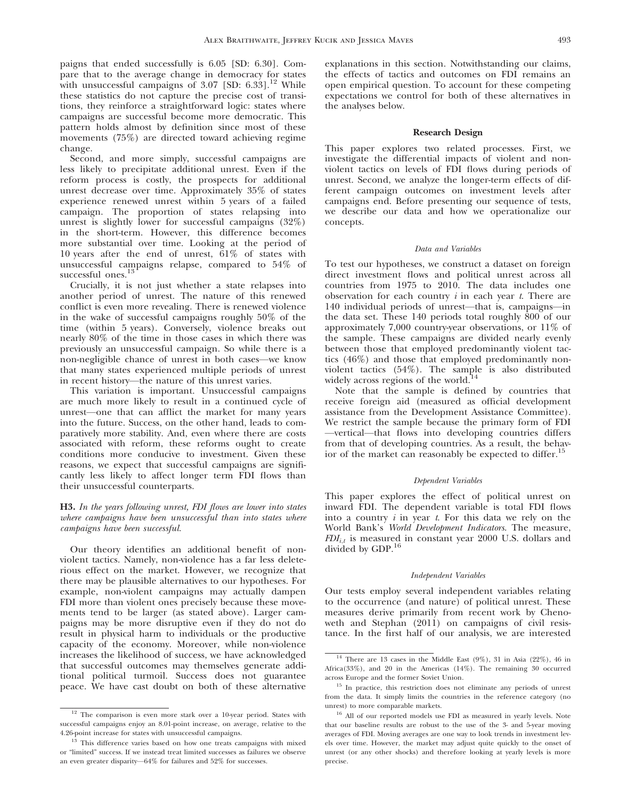paigns that ended successfully is 6.05 [SD: 6.30]. Compare that to the average change in democracy for states with unsuccessful campaigns of  $3.07$  [SD:  $6.33$ ].<sup>12</sup> While these statistics do not capture the precise cost of transitions, they reinforce a straightforward logic: states where campaigns are successful become more democratic. This pattern holds almost by definition since most of these movements (75%) are directed toward achieving regime change.

Second, and more simply, successful campaigns are less likely to precipitate additional unrest. Even if the reform process is costly, the prospects for additional unrest decrease over time. Approximately 35% of states experience renewed unrest within 5 years of a failed campaign. The proportion of states relapsing into unrest is slightly lower for successful campaigns (32%) in the short-term. However, this difference becomes more substantial over time. Looking at the period of 10 years after the end of unrest, 61% of states with unsuccessful campaigns relapse, compared to 54% of successful ones.<sup>13</sup>

Crucially, it is not just whether a state relapses into another period of unrest. The nature of this renewed conflict is even more revealing. There is renewed violence in the wake of successful campaigns roughly 50% of the time (within 5 years). Conversely, violence breaks out nearly 80% of the time in those cases in which there was previously an unsuccessful campaign. So while there is a non-negligible chance of unrest in both cases—we know that many states experienced multiple periods of unrest in recent history—the nature of this unrest varies.

This variation is important. Unsuccessful campaigns are much more likely to result in a continued cycle of unrest—one that can afflict the market for many years into the future. Success, on the other hand, leads to comparatively more stability. And, even where there are costs associated with reform, these reforms ought to create conditions more conducive to investment. Given these reasons, we expect that successful campaigns are significantly less likely to affect longer term FDI flows than their unsuccessful counterparts.

# H3. In the years following unrest, FDI flows are lower into states where campaigns have been unsuccessful than into states where campaigns have been successful.

Our theory identifies an additional benefit of nonviolent tactics. Namely, non-violence has a far less deleterious effect on the market. However, we recognize that there may be plausible alternatives to our hypotheses. For example, non-violent campaigns may actually dampen FDI more than violent ones precisely because these movements tend to be larger (as stated above). Larger campaigns may be more disruptive even if they do not do result in physical harm to individuals or the productive capacity of the economy. Moreover, while non-violence increases the likelihood of success, we have acknowledged that successful outcomes may themselves generate additional political turmoil. Success does not guarantee peace. We have cast doubt on both of these alternative

explanations in this section. Notwithstanding our claims, the effects of tactics and outcomes on FDI remains an open empirical question. To account for these competing expectations we control for both of these alternatives in the analyses below.

# Research Design

This paper explores two related processes. First, we investigate the differential impacts of violent and nonviolent tactics on levels of FDI flows during periods of unrest. Second, we analyze the longer-term effects of different campaign outcomes on investment levels after campaigns end. Before presenting our sequence of tests, we describe our data and how we operationalize our concepts.

# Data and Variables

To test our hypotheses, we construct a dataset on foreign direct investment flows and political unrest across all countries from 1975 to 2010. The data includes one observation for each country  $i$  in each year  $t$ . There are 140 individual periods of unrest—that is, campaigns—in the data set. These 140 periods total roughly 800 of our approximately 7,000 country-year observations, or 11% of the sample. These campaigns are divided nearly evenly between those that employed predominantly violent tactics (46%) and those that employed predominantly nonviolent tactics (54%). The sample is also distributed widely across regions of the world.<sup>14</sup>

Note that the sample is defined by countries that receive foreign aid (measured as official development assistance from the Development Assistance Committee). We restrict the sample because the primary form of FDI —vertical—that flows into developing countries differs from that of developing countries. As a result, the behavior of the market can reasonably be expected to differ.<sup>15</sup>

# Dependent Variables

This paper explores the effect of political unrest on inward FDI. The dependent variable is total FDI flows into a country  $i$  in year  $t$ . For this data we rely on the World Bank's World Development Indicators. The measure,  $FDI_{i,t}$  is measured in constant year 2000 U.S. dollars and divided by GDP.<sup>16</sup>

# Independent Variables

Our tests employ several independent variables relating to the occurrence (and nature) of political unrest. These measures derive primarily from recent work by Chenoweth and Stephan (2011) on campaigns of civil resistance. In the first half of our analysis, we are interested

<sup>&</sup>lt;sup>12</sup> The comparison is even more stark over a 10-year period. States with successful campaigns enjoy an 8.01-point increase, on average, relative to the 4.26-point increase for states with unsuccessful campaigns.

<sup>&</sup>lt;sup>13</sup> This difference varies based on how one treats campaigns with mixed or "limited" success. If we instead treat limited successes as failures we observe an even greater disparity—64% for failures and 52% for successes.

 $14$  There are 13 cases in the Middle East (9%), 31 in Asia (22%), 46 in Africa(33%), and 20 in the Americas (14%). The remaining 30 occurred across Europe and the former Soviet Union.

<sup>&</sup>lt;sup>15</sup> In practice, this restriction does not eliminate any periods of unrest from the data. It simply limits the countries in the reference category (no unrest) to more comparable markets.

<sup>&</sup>lt;sup>16</sup> All of our reported models use FDI as measured in yearly levels. Note that our baseline results are robust to the use of the 3- and 5-year moving averages of FDI. Moving averages are one way to look trends in investment levels over time. However, the market may adjust quite quickly to the onset of unrest (or any other shocks) and therefore looking at yearly levels is more precise.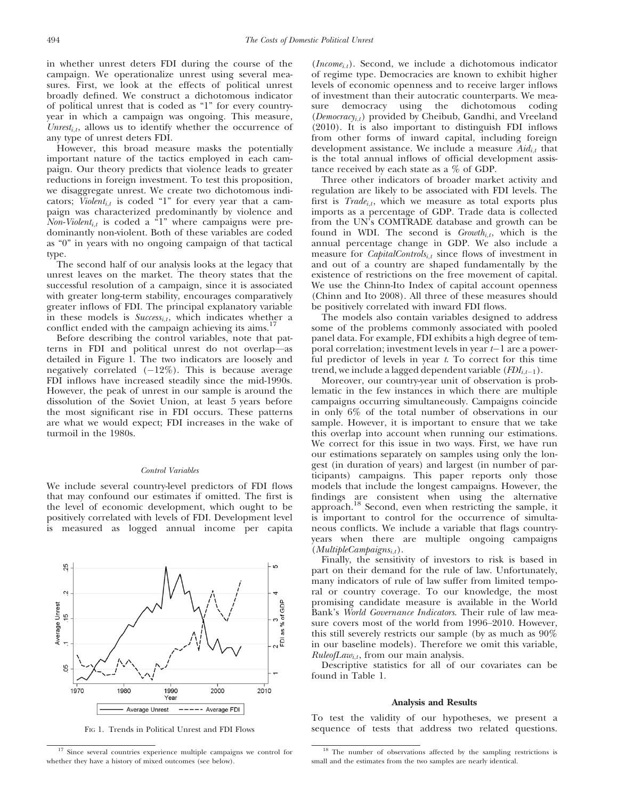in whether unrest deters FDI during the course of the campaign. We operationalize unrest using several measures. First, we look at the effects of political unrest broadly defined. We construct a dichotomous indicator of political unrest that is coded as "1" for every countryyear in which a campaign was ongoing. This measure, Unrest<sub>i,t</sub>, allows us to identify whether the occurrence of any type of unrest deters FDI.

However, this broad measure masks the potentially important nature of the tactics employed in each campaign. Our theory predicts that violence leads to greater reductions in foreign investment. To test this proposition, we disaggregate unrest. We create two dichotomous indicators; Violent<sub>i,t</sub> is coded "1" for every year that a campaign was characterized predominantly by violence and Non-Violent<sub>i,t</sub> is coded a "1" where campaigns were predominantly non-violent. Both of these variables are coded as "0" in years with no ongoing campaign of that tactical type.

The second half of our analysis looks at the legacy that unrest leaves on the market. The theory states that the successful resolution of a campaign, since it is associated with greater long-term stability, encourages comparatively greater inflows of FDI. The principal explanatory variable in these models is  $Success_{i,t}$ , which indicates whether a conflict ended with the campaign achieving its aims.<sup>17</sup>

Before describing the control variables, note that patterns in FDI and political unrest do not overlap—as detailed in Figure 1. The two indicators are loosely and negatively correlated  $(-12\%)$ . This is because average FDI inflows have increased steadily since the mid-1990s. However, the peak of unrest in our sample is around the dissolution of the Soviet Union, at least 5 years before the most significant rise in FDI occurs. These patterns are what we would expect; FDI increases in the wake of turmoil in the 1980s.

# Control Variables

We include several country-level predictors of FDI flows that may confound our estimates if omitted. The first is the level of economic development, which ought to be positively correlated with levels of FDI. Development level is measured as logged annual income per capita

 $\overline{a}$ 

25

 $\sim$ 



 $(Income<sub>i,t</sub>)$ . Second, we include a dichotomous indicator of regime type. Democracies are known to exhibit higher levels of economic openness and to receive larger inflows of investment than their autocratic counterparts. We measure democracy using the dichotomous coding  $(Democracy<sub>i,t</sub>)$  provided by Cheibub, Gandhi, and Vreeland (2010). It is also important to distinguish FDI inflows from other forms of inward capital, including foreign development assistance. We include a measure  $\text{A}id_{i,t}$  that is the total annual inflows of official development assistance received by each state as a % of GDP.

Three other indicators of broader market activity and regulation are likely to be associated with FDI levels. The first is  $Trade_{i,t}$ , which we measure as total exports plus imports as a percentage of GDP. Trade data is collected from the UN's COMTRADE database and growth can be found in WDI. The second is  $Growth_{i,t}$ , which is the annual percentage change in GDP. We also include a measure for *CapitalControls*<sub>i,t</sub> since flows of investment in and out of a country are shaped fundamentally by the existence of restrictions on the free movement of capital. We use the Chinn-Ito Index of capital account openness (Chinn and Ito 2008). All three of these measures should be positively correlated with inward FDI flows.

The models also contain variables designed to address some of the problems commonly associated with pooled panel data. For example, FDI exhibits a high degree of temporal correlation; investment levels in year  $t-1$  are a powerful predictor of levels in year  $t$ . To correct for this time trend, we include a lagged dependent variable  $(FDI_{i,t-1})$ .

Moreover, our country-year unit of observation is problematic in the few instances in which there are multiple campaigns occurring simultaneously. Campaigns coincide in only 6% of the total number of observations in our sample. However, it is important to ensure that we take this overlap into account when running our estimations. We correct for this issue in two ways. First, we have run our estimations separately on samples using only the longest (in duration of years) and largest (in number of participants) campaigns. This paper reports only those models that include the longest campaigns. However, the findings are consistent when using the alternative approach.<sup>18</sup> Second, even when restricting the sample, it is important to control for the occurrence of simultaneous conflicts. We include a variable that flags countryyears when there are multiple ongoing campaigns  $(MultipleCam pair<sub>i,t</sub>).$ 

Finally, the sensitivity of investors to risk is based in part on their demand for the rule of law. Unfortunately, many indicators of rule of law suffer from limited temporal or country coverage. To our knowledge, the most promising candidate measure is available in the World Bank's World Governance Indicators. Their rule of law measure covers most of the world from 1996–2010. However, this still severely restricts our sample (by as much as 90% in our baseline models). Therefore we omit this variable,  $Rule of Law<sub>i,t</sub>$ , from our main analysis.

Descriptive statistics for all of our covariates can be found in Table 1.

# Analysis and Results

To test the validity of our hypotheses, we present a FIG 1. Trends in Political Unrest and FDI Flows sequence of tests that address two related questions.

<sup>&</sup>lt;sup>17</sup> Since several countries experience multiple campaigns we control for whether they have a history of mixed outcomes (see below).

<sup>&</sup>lt;sup>18</sup> The number of observations affected by the sampling restrictions is small and the estimates from the two samples are nearly identical.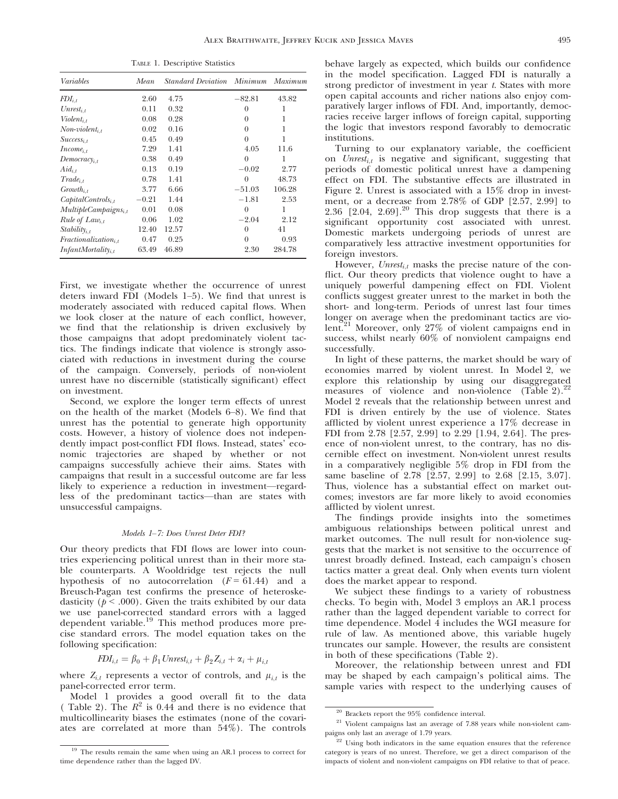| ----- - - - -------- - - --------- |         |                           |          |         |  |  |
|------------------------------------|---------|---------------------------|----------|---------|--|--|
| Variables                          | Mean    | <i>Standard Deviation</i> | Minimum  | Maximum |  |  |
| $FDI_{i,t}$                        | 2.60    | 4.75                      | $-82.81$ | 43.82   |  |  |
| $Unrest_{i,t}$                     | 0.11    | 0.32                      | $\theta$ | 1       |  |  |
| $Violent_{i,t}$                    | 0.08    | 0.28                      | $\theta$ | 1       |  |  |
| $Non-violent_{i,t}$                | 0.02    | 0.16                      | $\theta$ | 1       |  |  |
| $Success_{i,t}$                    | 0.45    | 0.49                      | $\theta$ | 1       |  |  |
| $Income_{i,t}$                     | 7.29    | 1.41                      | 4.05     | 11.6    |  |  |
| Democracy <sub>i,t</sub>           | 0.38    | 0.49                      | $\theta$ | 1       |  |  |
| $Aid_{i,t}$                        | 0.13    | 0.19                      | $-0.02$  | 2.77    |  |  |
| $Trade_{i,t}$                      | 0.78    | 1.41                      | $\Omega$ | 48.73   |  |  |
| $Growth_{i,t}$                     | 3.77    | 6.66                      | $-51.03$ | 106.28  |  |  |
| $CapitalContents_{i,t}$            | $-0.21$ | 1.44                      | $-1.81$  | 2.53    |  |  |
| MultipleCam pair <sub>i,t</sub>    | 0.01    | 0.08                      | $\theta$ | 1       |  |  |
| Rule of Law <sub>i.t</sub>         | 0.06    | 1.02                      | $-2.04$  | 2.12    |  |  |
| $Stability_{i,t}$                  | 12.40   | 12.57                     | $\theta$ | 41      |  |  |
| $Fractionalization_{i,t}$          | 0.47    | 0.25                      | $\theta$ | 0.93    |  |  |
| $InfantMortality_{i,t}$            | 63.49   | 46.89                     | 2.30     | 284.78  |  |  |

TABLE 1. Descriptive Statistics

First, we investigate whether the occurrence of unrest deters inward FDI (Models 1–5). We find that unrest is moderately associated with reduced capital flows. When we look closer at the nature of each conflict, however, we find that the relationship is driven exclusively by those campaigns that adopt predominately violent tactics. The findings indicate that violence is strongly associated with reductions in investment during the course of the campaign. Conversely, periods of non-violent unrest have no discernible (statistically significant) effect on investment.

Second, we explore the longer term effects of unrest on the health of the market (Models 6–8). We find that unrest has the potential to generate high opportunity costs. However, a history of violence does not independently impact post-conflict FDI flows. Instead, states' economic trajectories are shaped by whether or not campaigns successfully achieve their aims. States with campaigns that result in a successful outcome are far less likely to experience a reduction in investment—regardless of the predominant tactics—than are states with unsuccessful campaigns.

# Models 1–7: Does Unrest Deter FDI?

Our theory predicts that FDI flows are lower into countries experiencing political unrest than in their more stable counterparts. A Wooldridge test rejects the null hypothesis of no autocorrelation  $(F = 61.44)$  and a Breusch-Pagan test confirms the presence of heteroskedasticity ( $p < .000$ ). Given the traits exhibited by our data we use panel-corrected standard errors with a lagged dependent variable.<sup>19</sup> This method produces more precise standard errors. The model equation takes on the following specification:

$$
FDI_{i,t} = \beta_0 + \beta_1 \text{Unrest}_{i,t} + \beta_2 Z_{i,t} + \alpha_i + \mu_{i,t}
$$

where  $Z_{i,t}$  represents a vector of controls, and  $\mu_{i,t}$  is the panel-corrected error term.

Model 1 provides a good overall fit to the data ( Table 2). The  $R^2$  is 0.44 and there is no evidence that multicollinearity biases the estimates (none of the covariates are correlated at more than 54%). The controls behave largely as expected, which builds our confidence in the model specification. Lagged FDI is naturally a strong predictor of investment in year t. States with more open capital accounts and richer nations also enjoy comparatively larger inflows of FDI. And, importantly, democracies receive larger inflows of foreign capital, supporting the logic that investors respond favorably to democratic institutions.

Turning to our explanatory variable, the coefficient on  $Unrest_{i,t}$  is negative and significant, suggesting that periods of domestic political unrest have a dampening effect on FDI. The substantive effects are illustrated in Figure 2. Unrest is associated with a 15% drop in investment, or a decrease from 2.78% of GDP [2.57, 2.99] to  $2.36$   $[2.04, 2.69]$ .<sup>20</sup> This drop suggests that there is a significant opportunity cost associated with unrest. Domestic markets undergoing periods of unrest are comparatively less attractive investment opportunities for foreign investors.

However, Unrest<sub>i,t</sub> masks the precise nature of the conflict. Our theory predicts that violence ought to have a uniquely powerful dampening effect on FDI. Violent conflicts suggest greater unrest to the market in both the short- and long-term. Periods of unrest last four times longer on average when the predominant tactics are violent.<sup>21</sup> Moreover, only 27% of violent campaigns end in success, whilst nearly 60% of nonviolent campaigns end successfully.

In light of these patterns, the market should be wary of economies marred by violent unrest. In Model 2, we explore this relationship by using our disaggregated measures of violence and non-violence  $(T\bar{a}b\bar{b})e^2$ ? Model 2 reveals that the relationship between unrest and FDI is driven entirely by the use of violence. States afflicted by violent unrest experience a 17% decrease in FDI from 2.78 [2.57, 2.99] to 2.29 [1.94, 2.64]. The presence of non-violent unrest, to the contrary, has no discernible effect on investment. Non-violent unrest results in a comparatively negligible 5% drop in FDI from the same baseline of 2.78 [2.57, 2.99] to 2.68 [2.15, 3.07]. Thus, violence has a substantial effect on market outcomes; investors are far more likely to avoid economies afflicted by violent unrest.

The findings provide insights into the sometimes ambiguous relationships between political unrest and market outcomes. The null result for non-violence suggests that the market is not sensitive to the occurrence of unrest broadly defined. Instead, each campaign's chosen tactics matter a great deal. Only when events turn violent does the market appear to respond.

We subject these findings to a variety of robustness checks. To begin with, Model 3 employs an AR.1 process rather than the lagged dependent variable to correct for time dependence. Model 4 includes the WGI measure for rule of law. As mentioned above, this variable hugely truncates our sample. However, the results are consistent in both of these specifications (Table 2).

Moreover, the relationship between unrest and FDI may be shaped by each campaign's political aims. The sample varies with respect to the underlying causes of

<sup>&</sup>lt;sup>19</sup> The results remain the same when using an AR.1 process to correct for time dependence rather than the lagged DV.

 $^{20}$  Brackets report the  $95\%$  confidence interval.

<sup>21</sup> Violent campaigns last an average of 7.88 years while non-violent campaigns only last an average of 1.79 years.

 $22$  Using both indicators in the same equation ensures that the reference category is years of no unrest. Therefore, we get a direct comparison of the impacts of violent and non-violent campaigns on FDI relative to that of peace.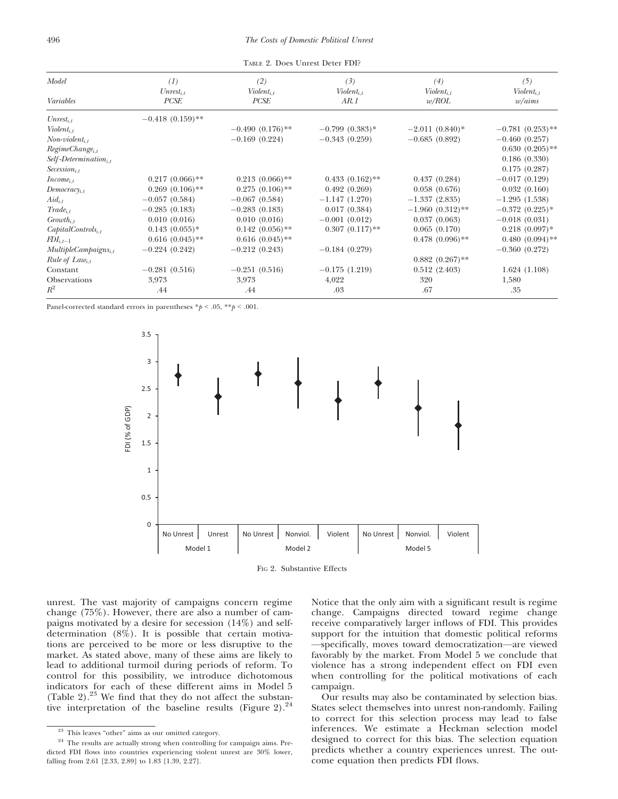TABLE 2. Does Unrest Deter FDI?

| Model                            | (1)                | (2)                | (3)               | (4)                | (5)                |
|----------------------------------|--------------------|--------------------|-------------------|--------------------|--------------------|
|                                  | $Unrest_{i,t}$     | $Violent_{i,t}$    | $Violent_{i,t}$   | $Violent_{i,t}$    | $Violent_{i,t}$    |
| Variables                        | PCSE               | PCSE               | AR. 1             | w/ROL              | w/ aims            |
| $Unrest_{i,t}$                   | $-0.418(0.159)$ ** |                    |                   |                    |                    |
| $Violent_{i,t}$                  |                    | $-0.490(0.176)$ ** | $-0.799(0.383)*$  | $-2.011(0.840)$ *  | $-0.781(0.253)$ ** |
| $Non-violent_{i,t}$              |                    | $-0.169(0.224)$    | $-0.343(0.259)$   | $-0.685(0.892)$    | $-0.460(0.257)$    |
| $RegimeChange_{i,t}$             |                    |                    |                   |                    | $0.630(0.205)$ **  |
| $Self-Determination_{i,t}$       |                    |                    |                   |                    | 0.186(0.330)       |
| $\textit{Secession}_{i.t.}$      |                    |                    |                   |                    | 0.175(0.287)       |
| $Income_{i,t}$                   | $0.217(0.066)$ **  | $0.213(0.066)$ **  | $0.433(0.162)$ ** | 0.437(0.284)       | $-0.017(0.129)$    |
| $Democracy_{i,t}$                | $0.269(0.106)$ **  | $0.275(0.106)$ **  | 0.492(0.269)      | 0.058(0.676)       | 0.032(0.160)       |
| $Aid_{i,t}$                      | $-0.057(0.584)$    | $-0.067(0.584)$    | $-1.147(1.270)$   | $-1.337(2.835)$    | $-1.295(1.538)$    |
| $Trade_{i,t}$                    | $-0.285(0.183)$    | $-0.283(0.183)$    | 0.017(0.384)      | $-1.960(0.312)$ ** | $-0.372(0.225)$ *  |
| $Growth_{i,t}$                   | 0.010(0.016)       | 0.010(0.016)       | $-0.001(0.012)$   | 0.037(0.063)       | $-0.018(0.031)$    |
| $CapitalControls_{i,t}$          | $0.143(0.055)*$    | $0.142(0.056)$ **  | $0.307(0.117)$ ** | 0.065(0.170)       | $0.218(0.097)$ *   |
| $FDI_{i,t-1}$                    | $0.616(0.045)$ **  | $0.616(0.045)$ **  |                   | $0.478(0.096)$ **  | $0.480(0.094)$ **  |
| MultipleCam pair <sub>i,t</sub>  | $-0.224(0.242)$    | $-0.212(0.243)$    | $-0.184(0.279)$   |                    | $-0.360(0.272)$    |
| <i>Rule of Law</i> <sub>it</sub> |                    |                    |                   | $0.882(0.267)$ **  |                    |
| Constant                         | $-0.281(0.516)$    | $-0.251(0.516)$    | $-0.175(1.219)$   | 0.512(2.403)       | 1.624(1.108)       |
| Observations                     | 3,973              | 3,973              | 4,022             | 320                | 1,580              |
| $R^2$                            | .44                | .44                | .03               | .67                | .35                |

Panel-corrected standard errors in parentheses  $\frac{*p}{s} < .05, \frac{**p}{s} < .001.$ 



FIG 2. Substantive Effects

unrest. The vast majority of campaigns concern regime change (75%). However, there are also a number of campaigns motivated by a desire for secession (14%) and selfdetermination (8%). It is possible that certain motivations are perceived to be more or less disruptive to the market. As stated above, many of these aims are likely to lead to additional turmoil during periods of reform. To control for this possibility, we introduce dichotomous indicators for each of these different aims in Model 5 (Table 2). $23$  We find that they do not affect the substantive interpretation of the baseline results (Figure 2).<sup>24</sup>

Notice that the only aim with a significant result is regime change. Campaigns directed toward regime change receive comparatively larger inflows of FDI. This provides support for the intuition that domestic political reforms —specifically, moves toward democratization—are viewed favorably by the market. From Model 5 we conclude that violence has a strong independent effect on FDI even when controlling for the political motivations of each campaign.

Our results may also be contaminated by selection bias. States select themselves into unrest non-randomly. Failing to correct for this selection process may lead to false inferences. We estimate a Heckman selection model designed to correct for this bias. The selection equation predicts whether a country experiences unrest. The outcome equation then predicts FDI flows.

<sup>23</sup> This leaves "other" aims as our omitted category.

 $^{24}$  The results are actually strong when controlling for campaign aims. Predicted FDI flows into countries experiencing violent unrest are 30% lower, falling from 2.61 [2.33, 2.89] to 1.83 [1.39, 2.27].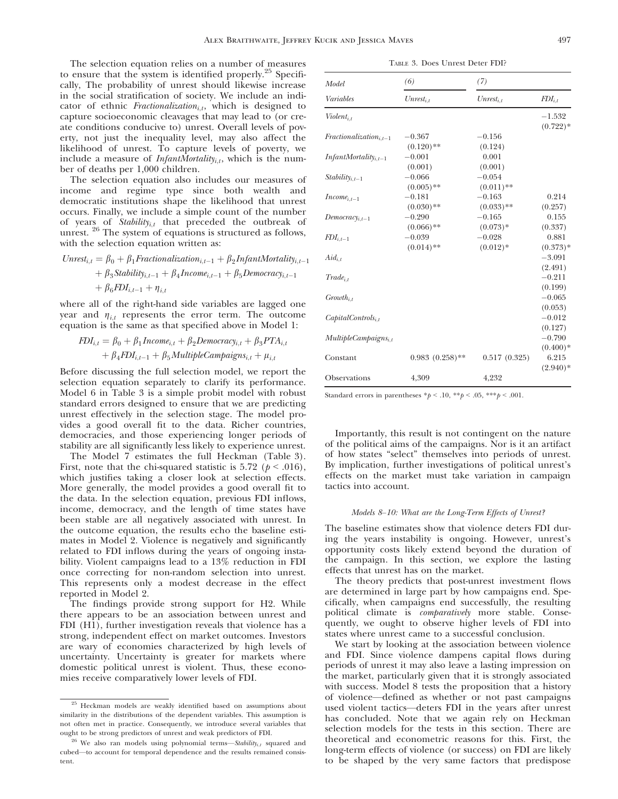The selection equation relies on a number of measures to ensure that the system is identified properly.<sup>25</sup> Specifically, The probability of unrest should likewise increase in the social stratification of society. We include an indicator of ethnic Fractionalization<sub>i,t</sub>, which is designed to capture socioeconomic cleavages that may lead to (or create conditions conducive to) unrest. Overall levels of poverty, not just the inequality level, may also affect the likelihood of unrest. To capture levels of poverty, we include a measure of *InfantMortality<sub>i,t</sub>*, which is the number of deaths per 1,000 children.

The selection equation also includes our measures of income and regime type since both wealth and democratic institutions shape the likelihood that unrest occurs. Finally, we include a simple count of the number of years of  $Stability_{i,t}$  that preceded the outbreak of unrest. <sup>26</sup> The system of equations is structured as follows, with the selection equation written as:

$$
Unrest_{i,t} = \beta_0 + \beta_1 Fractionalization_{i,t-1} + \beta_2 InfantMortality_{i,t-1} + \beta_3 Stability_{i,t-1} + \beta_4 Income_{i,t-1} + \beta_5 Democracy_{i,t-1} + \beta_6 FDI_{i,t-1} + \eta_{i,t}
$$

where all of the right-hand side variables are lagged one year and  $\eta_{i,t}$  represents the error term. The outcome equation is the same as that specified above in Model 1:

$$
FDI_{i,t} = \beta_0 + \beta_1 Income_{i,t} + \beta_2 Demoncrac_{i,t} + \beta_3 PTA_{i,t} + \beta_4 FDI_{i,t-1} + \beta_5 MultipleCampaigns_{i,t} + \mu_{i,t}
$$

Before discussing the full selection model, we report the selection equation separately to clarify its performance. Model 6 in Table 3 is a simple probit model with robust standard errors designed to ensure that we are predicting unrest effectively in the selection stage. The model provides a good overall fit to the data. Richer countries, democracies, and those experiencing longer periods of stability are all significantly less likely to experience unrest.

The Model 7 estimates the full Heckman (Table 3). First, note that the chi-squared statistic is 5.72 ( $p < .016$ ), which justifies taking a closer look at selection effects. More generally, the model provides a good overall fit to the data. In the selection equation, previous FDI inflows, income, democracy, and the length of time states have been stable are all negatively associated with unrest. In the outcome equation, the results echo the baseline estimates in Model 2. Violence is negatively and significantly related to FDI inflows during the years of ongoing instability. Violent campaigns lead to a 13% reduction in FDI once correcting for non-random selection into unrest. This represents only a modest decrease in the effect reported in Model 2.

The findings provide strong support for H2. While there appears to be an association between unrest and FDI (H1), further investigation reveals that violence has a strong, independent effect on market outcomes. Investors are wary of economies characterized by high levels of uncertainty. Uncertainty is greater for markets where domestic political unrest is violent. Thus, these economies receive comparatively lower levels of FDI.

| TABLE 3. Does Unrest Deter FDI? |
|---------------------------------|
|---------------------------------|

| Model                              | (6)                      | (7)                      |                        |  |
|------------------------------------|--------------------------|--------------------------|------------------------|--|
| Variables                          | $Unrest_{i.t}$           | $Unrest_{i,t}$           | $FDI_{i,t}$            |  |
| $Violet_{i,t}$                     |                          |                          | $-1.532$<br>$(0.722)*$ |  |
| $Fractionalization_{i,t-1}$        | $-0.367$<br>$(0.120)$ ** | $-0.156$                 |                        |  |
| $InfantMortality$ <sub>i.t-1</sub> | $-0.001$                 | (0.124)<br>0.001         |                        |  |
| $Stability_{i,t-1}$                | (0.001)<br>$-0.066$      | (0.001)<br>$-0.054$      |                        |  |
| $Income_{i,t-1}$                   | $(0.005)$ **<br>$-0.181$ | $(0.011)$ **<br>$-0.163$ | 0.214                  |  |
| $Democracy_{i,t-1}$                | $(0.030)$ **<br>$-0.290$ | $(0.033)$ **<br>$-0.165$ | (0.257)<br>0.155       |  |
| $FDI_{i,t-1}$                      | $(0.066)$ **<br>$-0.039$ | $(0.073)*$<br>$-0.028$   | (0.337)<br>0.881       |  |
| $Aid_{i,t}$                        | $(0.014)$ **             | $(0.012)*$               | $(0.373)*$<br>$-3.091$ |  |
| $Trade_{i,t}$                      |                          |                          | (2.491)<br>$-0.211$    |  |
| $Growth_{i,t}$                     |                          |                          | (0.199)<br>$-0.065$    |  |
| $Capital Controls_{i,t}$           |                          |                          | (0.053)<br>$-0.012$    |  |
| MultipleCam pair <sub>i,t</sub>    |                          |                          | (0.127)<br>$-0.790$    |  |
| Constant                           | $0.983(0.258)$ **        | 0.517(0.325)             | $(0.400)*$<br>6.215    |  |
| Observations                       | 4,309                    | 4,232                    | $(2.940)*$             |  |

Standard errors in parentheses  $\frac{p}{q}$  < .10,  $\frac{p}{q}$  < .05,  $\frac{p}{q}$  < .001.

Importantly, this result is not contingent on the nature of the political aims of the campaigns. Nor is it an artifact of how states "select" themselves into periods of unrest. By implication, further investigations of political unrest's effects on the market must take variation in campaign tactics into account.

### Models 8–10: What are the Long-Term Effects of Unrest?

The baseline estimates show that violence deters FDI during the years instability is ongoing. However, unrest's opportunity costs likely extend beyond the duration of the campaign. In this section, we explore the lasting effects that unrest has on the market.

The theory predicts that post-unrest investment flows are determined in large part by how campaigns end. Specifically, when campaigns end successfully, the resulting political climate is *comparatively* more stable. Consequently, we ought to observe higher levels of FDI into states where unrest came to a successful conclusion.

We start by looking at the association between violence and FDI. Since violence dampens capital flows during periods of unrest it may also leave a lasting impression on the market, particularly given that it is strongly associated with success. Model 8 tests the proposition that a history of violence—defined as whether or not past campaigns used violent tactics—deters FDI in the years after unrest has concluded. Note that we again rely on Heckman selection models for the tests in this section. There are theoretical and econometric reasons for this. First, the long-term effects of violence (or success) on FDI are likely to be shaped by the very same factors that predispose

<sup>25</sup> Heckman models are weakly identified based on assumptions about similarity in the distributions of the dependent variables. This assumption is not often met in practice. Consequently, we introduce several variables that ought to be strong predictors of unrest and weak predictors of FDI.

<sup>&</sup>lt;sup>26</sup> We also ran models using polynomial terms—Stability<sub>i,t</sub> squared and cubed—to account for temporal dependence and the results remained consistent.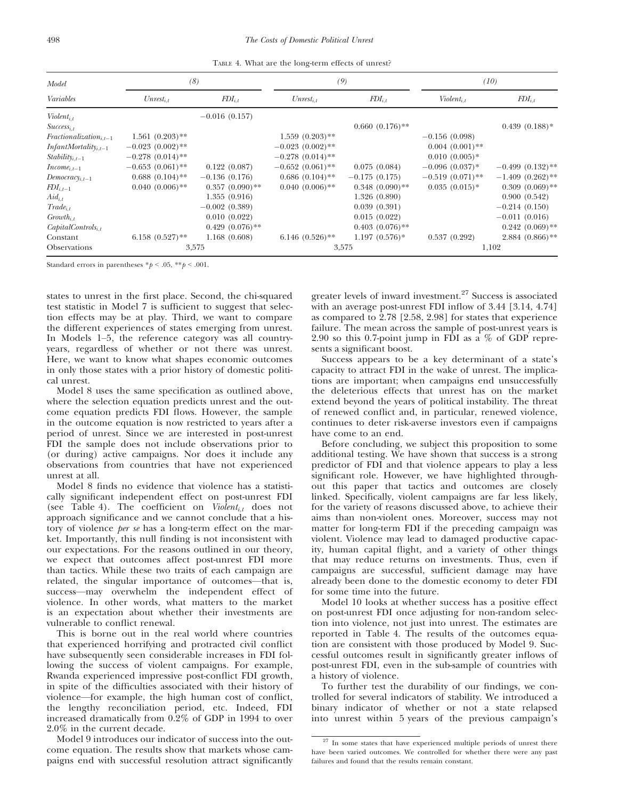TABLE 4. What are the long-term effects of unrest?

| Model                              | (8)                |                   | (9)                |                   | (10)               |                    |
|------------------------------------|--------------------|-------------------|--------------------|-------------------|--------------------|--------------------|
| Variables                          | $Unrest_{i,t}$     | $FDI_{i,t}$       | $Unrest_{i,t}$     | $FDI_{i,t}$       | $Violent_{i,t}$    | $FDI_{i,t}$        |
| $Violent_{i,t}$                    |                    | $-0.016(0.157)$   |                    |                   |                    |                    |
| $Success_{i,t}$                    |                    |                   |                    | $0.660(0.176)$ ** |                    | $0.439(0.188)*$    |
| $Fractionalization_{i,t-1}$        | $1.561(0.203)$ **  |                   | $1.559(0.203)$ **  |                   | $-0.156(0.098)$    |                    |
| $InfantMortality$ <sub>i.t-1</sub> | $-0.023(0.002)$ ** |                   | $-0.023(0.002)$ ** |                   | $0.004(0.001)$ **  |                    |
| $Stability_{i,t-1}$                | $-0.278(0.014)$ ** |                   | $-0.278(0.014)$ ** |                   | $0.010(0.005)*$    |                    |
| $Income_{i,t-1}$                   | $-0.653(0.061)$ ** | 0.122(0.087)      | $-0.652(0.061)$ ** | 0.075(0.084)      | $-0.096(0.037)^*$  | $-0.499(0.132)$ ** |
| $Democrac_{i,t-1}$                 | $0.688(0.104)$ **  | $-0.136(0.176)$   | $0.686(0.104)$ **  | $-0.175(0.175)$   | $-0.519(0.071)$ ** | $-1.409(0.262)$ ** |
| $FDI_{i,t-1}$                      | $0.040(0.006)$ **  | $0.357(0.090)$ ** | $0.040(0.006)$ **  | $0.348(0.090)$ ** | $0.035(0.015)*$    | $0.309(0.069)$ **  |
| $Aid_{i,t}$                        |                    | 1.355(0.916)      |                    | 1.326(0.890)      |                    | 0.900(0.542)       |
| $Trade_{i,t}$                      |                    | $-0.002(0.389)$   |                    | 0.039(0.391)      |                    | $-0.214(0.150)$    |
| $Growth_{i,t}$                     |                    | 0.010(0.022)      |                    | 0.015(0.022)      |                    | $-0.011(0.016)$    |
| $CapitalControls_{i,t}$            |                    | $0.429(0.076)$ ** |                    | $0.403(0.076)$ ** |                    | $0.242(0.069)$ **  |
| Constant                           | $6.158(0.527)$ **  | 1.168(0.608)      | $6.146(0.526)$ **  | $1.197(0.576)*$   | 0.537(0.292)       | $2.884(0.866)$ **  |
| <b>Observations</b>                |                    | 3,575             |                    | 3,575             |                    | 1,102              |

Standard errors in parentheses  $\frac{*p}{<}$ .05,  $\frac{**p}{<}$ .001.

states to unrest in the first place. Second, the chi-squared test statistic in Model 7 is sufficient to suggest that selection effects may be at play. Third, we want to compare the different experiences of states emerging from unrest. In Models 1–5, the reference category was all countryyears, regardless of whether or not there was unrest. Here, we want to know what shapes economic outcomes in only those states with a prior history of domestic political unrest.

Model 8 uses the same specification as outlined above, where the selection equation predicts unrest and the outcome equation predicts FDI flows. However, the sample in the outcome equation is now restricted to years after a period of unrest. Since we are interested in post-unrest FDI the sample does not include observations prior to (or during) active campaigns. Nor does it include any observations from countries that have not experienced unrest at all.

Model 8 finds no evidence that violence has a statistically significant independent effect on post-unrest FDI (see Table 4). The coefficient on  $Violet_{i,t}$  does not approach significance and we cannot conclude that a history of violence *per se* has a long-term effect on the market. Importantly, this null finding is not inconsistent with our expectations. For the reasons outlined in our theory, we expect that outcomes affect post-unrest FDI more than tactics. While these two traits of each campaign are related, the singular importance of outcomes—that is, success—may overwhelm the independent effect of violence. In other words, what matters to the market is an expectation about whether their investments are vulnerable to conflict renewal.

This is borne out in the real world where countries that experienced horrifying and protracted civil conflict have subsequently seen considerable increases in FDI following the success of violent campaigns. For example, Rwanda experienced impressive post-conflict FDI growth, in spite of the difficulties associated with their history of violence—for example, the high human cost of conflict, the lengthy reconciliation period, etc. Indeed, FDI increased dramatically from 0.2% of GDP in 1994 to over 2.0% in the current decade.

Model 9 introduces our indicator of success into the outcome equation. The results show that markets whose campaigns end with successful resolution attract significantly greater levels of inward investment. $27$  Success is associated with an average post-unrest FDI inflow of 3.44 [3.14, 4.74] as compared to 2.78 [2.58, 2.98] for states that experience failure. The mean across the sample of post-unrest years is 2.90 so this 0.7-point jump in FDI as a % of GDP represents a significant boost.

Success appears to be a key determinant of a state's capacity to attract FDI in the wake of unrest. The implications are important; when campaigns end unsuccessfully the deleterious effects that unrest has on the market extend beyond the years of political instability. The threat of renewed conflict and, in particular, renewed violence, continues to deter risk-averse investors even if campaigns have come to an end.

Before concluding, we subject this proposition to some additional testing. We have shown that success is a strong predictor of FDI and that violence appears to play a less significant role. However, we have highlighted throughout this paper that tactics and outcomes are closely linked. Specifically, violent campaigns are far less likely, for the variety of reasons discussed above, to achieve their aims than non-violent ones. Moreover, success may not matter for long-term FDI if the preceding campaign was violent. Violence may lead to damaged productive capacity, human capital flight, and a variety of other things that may reduce returns on investments. Thus, even if campaigns are successful, sufficient damage may have already been done to the domestic economy to deter FDI for some time into the future.

Model 10 looks at whether success has a positive effect on post-unrest FDI once adjusting for non-random selection into violence, not just into unrest. The estimates are reported in Table 4. The results of the outcomes equation are consistent with those produced by Model 9. Successful outcomes result in significantly greater inflows of post-unrest FDI, even in the sub-sample of countries with a history of violence.

To further test the durability of our findings, we controlled for several indicators of stability. We introduced a binary indicator of whether or not a state relapsed into unrest within 5 years of the previous campaign's

<sup>&</sup>lt;sup>27</sup> In some states that have experienced multiple periods of unrest there have been varied outcomes. We controlled for whether there were any past failures and found that the results remain constant.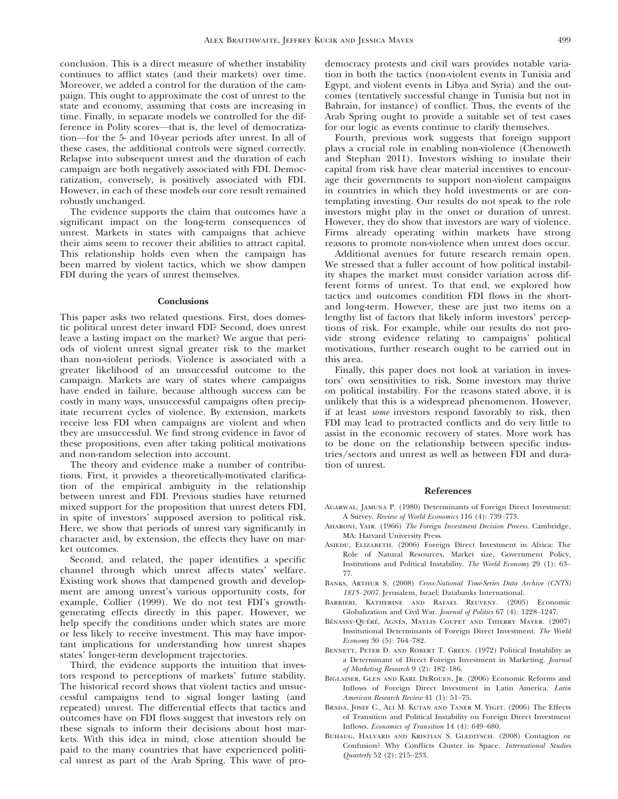conclusion. This is a direct measure of whether instability continues to afflict states (and their markets) over time. Moreover, we added a control for the duration of the campaign. This ought to approximate the cost of unrest to the state and economy, assuming that costs are increasing in time. Finally, in separate models we controlled for the difference in Polity scores—that is, the level of democratization—for the 5- and 10-year periods after unrest. In all of these cases, the additional controls were signed correctly. Relapse into subsequent unrest and the duration of each campaign are both negatively associated with FDI. Democratization, conversely, is positively associated with FDI. However, in each of these models our core result remained robustly unchanged.

The evidence supports the claim that outcomes have a significant impact on the long-term consequences of unrest. Markets in states with campaigns that achieve their aims seem to recover their abilities to attract capital. This relationship holds even when the campaign has been marred by violent tactics, which we show dampen FDI during the years of unrest themselves.

# **Conclusions**

This paper asks two related questions. First, does domestic political unrest deter inward FDI? Second, does unrest leave a lasting impact on the market? We argue that periods of violent unrest signal greater risk to the market than non-violent periods. Violence is associated with a greater likelihood of an unsuccessful outcome to the campaign. Markets are wary of states where campaigns have ended in failure, because although success can be costly in many ways, unsuccessful campaigns often precipitate recurrent cycles of violence. By extension, markets receive less FDI when campaigns are violent and when they are unsuccessful. We find strong evidence in favor of these propositions, even after taking political motivations and non-random selection into account.

The theory and evidence make a number of contributions. First, it provides a theoretically-motivated clarification of the empirical ambiguity in the relationship between unrest and FDI. Previous studies have returned mixed support for the proposition that unrest deters FDI, in spite of investors' supposed aversion to political risk. Here, we show that periods of unrest vary significantly in character and, by extension, the effects they have on market outcomes.

Second, and related, the paper identifies a specific channel through which unrest affects states' welfare. Existing work shows that dampened growth and development are among unrest's various opportunity costs, for example, Collier (1999). We do not test FDI's growthgenerating effects directly in this paper. However, we help specify the conditions under which states are more or less likely to receive investment. This may have important implications for understanding how unrest shapes states' longer-term development trajectories.

Third, the evidence supports the intuition that investors respond to perceptions of markets' future stability. The historical record shows that violent tactics and unsuccessful campaigns tend to signal longer lasting (and repeated) unrest. The differential effects that tactics and outcomes have on FDI flows suggest that investors rely on these signals to inform their decisions about host markets. With this idea in mind, close attention should be paid to the many countries that have experienced political unrest as part of the Arab Spring. This wave of prodemocracy protests and civil wars provides notable variation in both the tactics (non-violent events in Tunisia and Egypt, and violent events in Libya and Syria) and the outcomes (tentatively successful change in Tunisia but not in Bahrain, for instance) of conflict. Thus, the events of the Arab Spring ought to provide a suitable set of test cases for our logic as events continue to clarify themselves.

Fourth, previous work suggests that foreign support plays a crucial role in enabling non-violence (Chenoweth and Stephan 2011). Investors wishing to insulate their capital from risk have clear material incentives to encourage their governments to support non-violent campaigns in countries in which they hold investments or are contemplating investing. Our results do not speak to the role investors might play in the onset or duration of unrest. However, they do show that investors are wary of violence. Firms already operating within markets have strong reasons to promote non-violence when unrest does occur.

Additional avenues for future research remain open. We stressed that a fuller account of how political instability shapes the market must consider variation across different forms of unrest. To that end, we explored how tactics and outcomes condition FDI flows in the shortand long-term. However, these are just two items on a lengthy list of factors that likely inform investors' perceptions of risk. For example, while our results do not provide strong evidence relating to campaigns' political motivations, further research ought to be carried out in this area.

Finally, this paper does not look at variation in investors' own sensitivities to risk. Some investors may thrive on political instability. For the reasons stated above, it is unlikely that this is a widespread phenomenon. However, if at least some investors respond favorably to risk, then FDI may lead to protracted conflicts and do very little to assist in the economic recovery of states. More work has to be done on the relationship between specific industries/sectors and unrest as well as between FDI and duration of unrest.

#### References

- Agarwal, Jamuna P. (1980) Determinants of Foreign Direct Investment: A Survey. Review of World Economics 116 (4): 739–773.
- Aharoni, Yair. (1966) The Foreign Investment Decision Process. Cambridge, MA: Harvard University Press.
- Asiedu, Elizabeth. (2006) Foreign Direct Investment in Africa: The Role of Natural Resources, Market size, Government Policy, Institutions and Political Instability. The World Economy 29 (1): 63– 77.
- BANKS, ARTHUR S. (2008) Cross-National Time-Series Data Archive (CNTS) 1815–2007. Jerusalem, Israel: Databanks International.
- Barbieri, Katherine and Rafael Reuveny. (2005) Economic Globalization and Civil War. Journal of Politics 67 (4): 1228–1247.
- BÉNASSY-QUÉRÉ, AGNÉS, MAYLIS COUPET AND THIERRY MAYER. (2007) Institutional Determinants of Foreign Direct Investment. The World Economy 30 (5): 764–782.
- BENNETT, PETER D. AND ROBERT T. GREEN. (1972) Political Instability as a Determinant of Direct Foreign Investment in Marketing. Journal of Marketing Research 9 (2): 182–186.
- Biglaiser, Glen and Karl DeRouen, Jr. (2006) Economic Reforms and Inflows of Foreign Direct Investment in Latin America. Latin American Research Review 41 (1): 51–75.
- Brada, Josef C., Ali M. Kutan and Taner M. Yigit. (2006) The Effects of Transition and Political Instability on Foreign Direct Investment Inflows. Economics of Transition 14 (4): 649–680.
- Buhaug, Halvard and Kristian S. Gleditsch. (2008) Contagion or Confusion? Why Conflicts Cluster in Space. International Studies Quarterly 52 (2): 215–233.